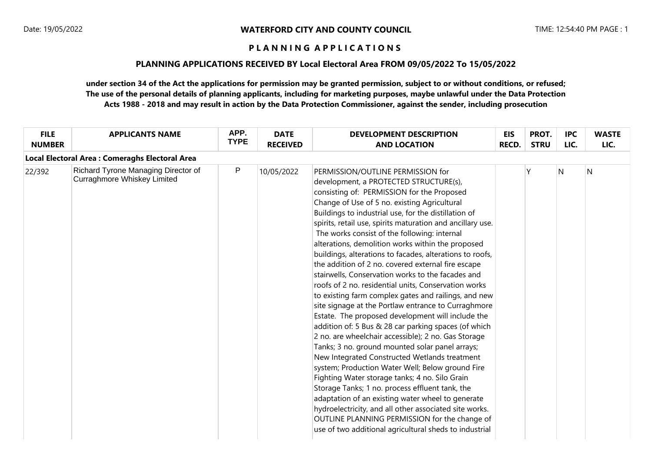### **PLANNING APPLICATIONS RECEIVED BY Local Electoral Area FROM 09/05/2022 To 15/05/2022**

| <b>FILE</b><br><b>NUMBER</b> | <b>APPLICANTS NAME</b>                                                    | APP.<br><b>TYPE</b> | <b>DATE</b><br><b>RECEIVED</b> | <b>DEVELOPMENT DESCRIPTION</b><br><b>AND LOCATION</b>                                                                                                                                                                                                                                                                                                                                                                                                                                                                                                                                                                                                                                                                                                                                                                                                                                                                                                                                                                                                                                                                                                                                                                                                                                                                                                                                                         | <b>EIS</b><br><b>RECD.</b> | PROT.<br><b>STRU</b> | <b>IPC</b><br>LIC. | <b>WASTE</b><br>LIC. |
|------------------------------|---------------------------------------------------------------------------|---------------------|--------------------------------|---------------------------------------------------------------------------------------------------------------------------------------------------------------------------------------------------------------------------------------------------------------------------------------------------------------------------------------------------------------------------------------------------------------------------------------------------------------------------------------------------------------------------------------------------------------------------------------------------------------------------------------------------------------------------------------------------------------------------------------------------------------------------------------------------------------------------------------------------------------------------------------------------------------------------------------------------------------------------------------------------------------------------------------------------------------------------------------------------------------------------------------------------------------------------------------------------------------------------------------------------------------------------------------------------------------------------------------------------------------------------------------------------------------|----------------------------|----------------------|--------------------|----------------------|
|                              | Local Electoral Area : Comeraghs Electoral Area                           |                     |                                |                                                                                                                                                                                                                                                                                                                                                                                                                                                                                                                                                                                                                                                                                                                                                                                                                                                                                                                                                                                                                                                                                                                                                                                                                                                                                                                                                                                                               |                            |                      |                    |                      |
| 22/392                       | Richard Tyrone Managing Director of<br><b>Curraghmore Whiskey Limited</b> | P                   | 10/05/2022                     | PERMISSION/OUTLINE PERMISSION for<br>development, a PROTECTED STRUCTURE(s),<br>consisting of: PERMISSION for the Proposed<br>Change of Use of 5 no. existing Agricultural<br>Buildings to industrial use, for the distillation of<br>spirits, retail use, spirits maturation and ancillary use.<br>The works consist of the following: internal<br>alterations, demolition works within the proposed<br>buildings, alterations to facades, alterations to roofs,<br>the addition of 2 no. covered external fire escape<br>stairwells, Conservation works to the facades and<br>roofs of 2 no. residential units, Conservation works<br>to existing farm complex gates and railings, and new<br>site signage at the Portlaw entrance to Curraghmore<br>Estate. The proposed development will include the<br>addition of: 5 Bus & 28 car parking spaces (of which<br>2 no. are wheelchair accessible); 2 no. Gas Storage<br>Tanks; 3 no. ground mounted solar panel arrays;<br>New Integrated Constructed Wetlands treatment<br>system; Production Water Well; Below ground Fire<br>Fighting Water storage tanks; 4 no. Silo Grain<br>Storage Tanks; 1 no. process effluent tank, the<br>adaptation of an existing water wheel to generate<br>hydroelectricity, and all other associated site works.<br>OUTLINE PLANNING PERMISSION for the change of<br>use of two additional agricultural sheds to industrial |                            | Υ                    | N                  | N                    |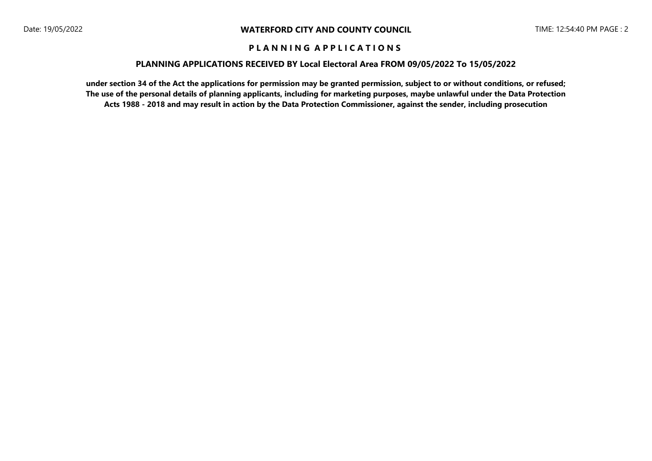### **PLANNING APPLICATIONS RECEIVED BY Local Electoral Area FROM 09/05/2022 To 15/05/2022**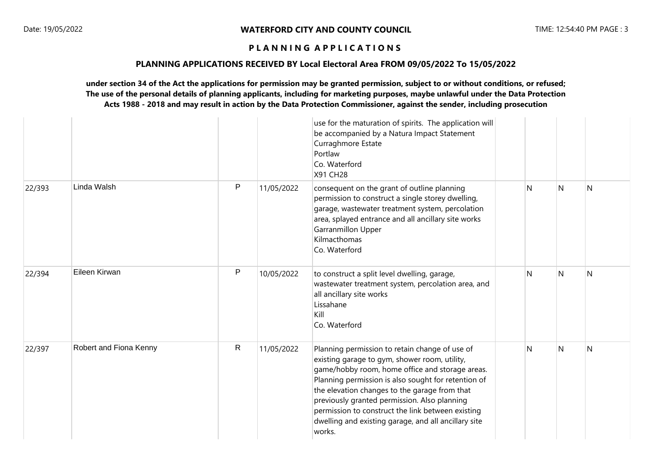### **PLANNING APPLICATIONS RECEIVED BY Local Electoral Area FROM 09/05/2022 To 15/05/2022**

|        |                        |              |            | use for the maturation of spirits. The application will<br>be accompanied by a Natura Impact Statement<br>Curraghmore Estate<br>Portlaw<br>Co. Waterford<br>X91 CH28                                                                                                                                                                                                                                                              |   |   |   |
|--------|------------------------|--------------|------------|-----------------------------------------------------------------------------------------------------------------------------------------------------------------------------------------------------------------------------------------------------------------------------------------------------------------------------------------------------------------------------------------------------------------------------------|---|---|---|
| 22/393 | Linda Walsh            | $\mathsf{P}$ | 11/05/2022 | consequent on the grant of outline planning<br>permission to construct a single storey dwelling,<br>garage, wastewater treatment system, percolation<br>area, splayed entrance and all ancillary site works<br>Garranmillon Upper<br>Kilmacthomas<br>Co. Waterford                                                                                                                                                                | N | N | N |
| 22/394 | Eileen Kirwan          | $\mathsf{P}$ | 10/05/2022 | to construct a split level dwelling, garage,<br>wastewater treatment system, percolation area, and<br>all ancillary site works<br>Lissahane<br>Kill<br>Co. Waterford                                                                                                                                                                                                                                                              | N | N | N |
| 22/397 | Robert and Fiona Kenny | R            | 11/05/2022 | Planning permission to retain change of use of<br>existing garage to gym, shower room, utility,<br>game/hobby room, home office and storage areas.<br>Planning permission is also sought for retention of<br>the elevation changes to the garage from that<br>previously granted permission. Also planning<br>permission to construct the link between existing<br>dwelling and existing garage, and all ancillary site<br>works. | N | N | N |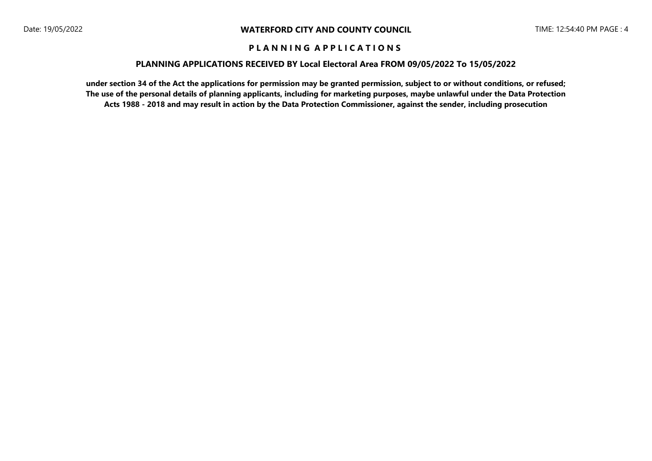### **PLANNING APPLICATIONS RECEIVED BY Local Electoral Area FROM 09/05/2022 To 15/05/2022**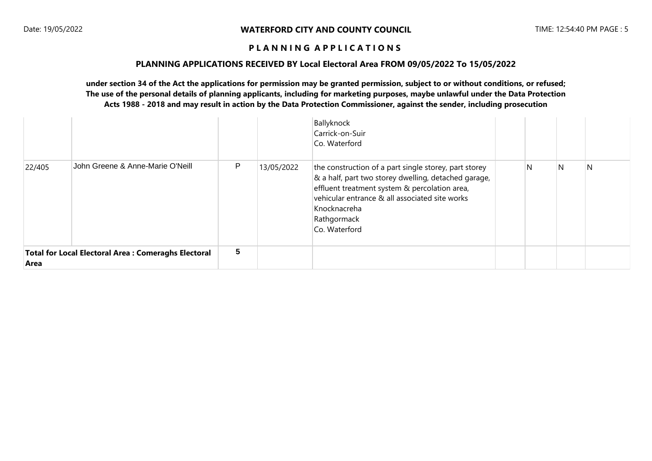#### **PLANNING APPLICATIONS RECEIVED BY Local Electoral Area FROM 09/05/2022 To 15/05/2022**

|        |                                                      |                 |            | Ballyknock<br>Carrick-on-Suir<br>Co. Waterford                                                                                                                                                                                                                   |   |   |   |
|--------|------------------------------------------------------|-----------------|------------|------------------------------------------------------------------------------------------------------------------------------------------------------------------------------------------------------------------------------------------------------------------|---|---|---|
| 22/405 | John Greene & Anne-Marie O'Neill                     | P               | 13/05/2022 | the construction of a part single storey, part storey<br>& a half, part two storey dwelling, detached garage,<br>effluent treatment system & percolation area,<br>vehicular entrance & all associated site works<br>Knocknacreha<br>Rathgormack<br>Co. Waterford | N | N | N |
| Area   | Total for Local Electoral Area : Comeraghs Electoral | $5\phantom{.0}$ |            |                                                                                                                                                                                                                                                                  |   |   |   |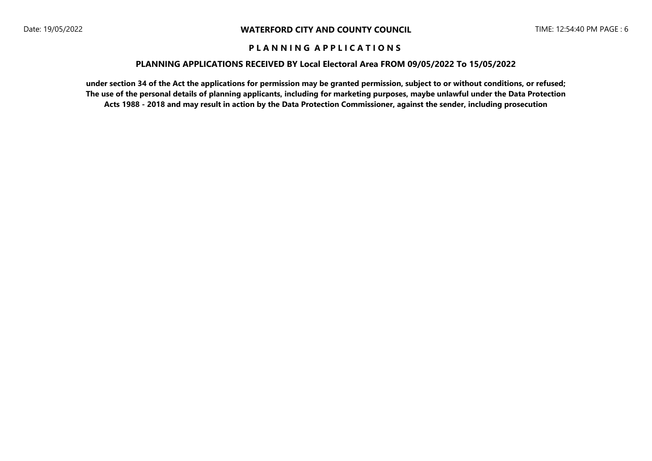### **PLANNING APPLICATIONS RECEIVED BY Local Electoral Area FROM 09/05/2022 To 15/05/2022**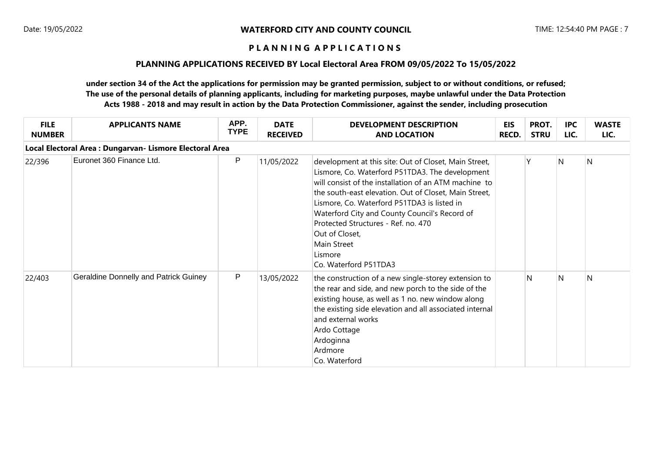# **PLANNING APPLICATIONS RECEIVED BY Local Electoral Area FROM 09/05/2022 To 15/05/2022**

| <b>FILE</b><br><b>NUMBER</b> | <b>APPLICANTS NAME</b>                                   | APP.<br><b>TYPE</b> | <b>DATE</b><br><b>RECEIVED</b> | <b>DEVELOPMENT DESCRIPTION</b><br><b>AND LOCATION</b>                                                                                                                                                                                                                                                                                                                                                                                  | EIS<br><b>RECD.</b> | PROT.<br><b>STRU</b> | <b>IPC</b><br>LIC. | <b>WASTE</b><br>LIC. |
|------------------------------|----------------------------------------------------------|---------------------|--------------------------------|----------------------------------------------------------------------------------------------------------------------------------------------------------------------------------------------------------------------------------------------------------------------------------------------------------------------------------------------------------------------------------------------------------------------------------------|---------------------|----------------------|--------------------|----------------------|
|                              | Local Electoral Area : Dungarvan- Lismore Electoral Area |                     |                                |                                                                                                                                                                                                                                                                                                                                                                                                                                        |                     |                      |                    |                      |
| 22/396                       | Euronet 360 Finance Ltd.                                 | P                   | 11/05/2022                     | development at this site: Out of Closet, Main Street,<br>Lismore, Co. Waterford P51TDA3. The development<br>will consist of the installation of an ATM machine to<br>the south-east elevation. Out of Closet, Main Street,<br>Lismore, Co. Waterford P51TDA3 is listed in<br>Waterford City and County Council's Record of<br>Protected Structures - Ref. no. 470<br>Out of Closet,<br>Main Street<br>Lismore<br>Co. Waterford P51TDA3 |                     | Υ                    | N                  | N                    |
| 22/403                       | <b>Geraldine Donnelly and Patrick Guiney</b>             | P                   | 13/05/2022                     | the construction of a new single-storey extension to<br>the rear and side, and new porch to the side of the<br>existing house, as well as 1 no. new window along<br>the existing side elevation and all associated internal<br>and external works<br>Ardo Cottage<br>Ardoginna<br>Ardmore<br>Co. Waterford                                                                                                                             |                     | N                    | N                  | N                    |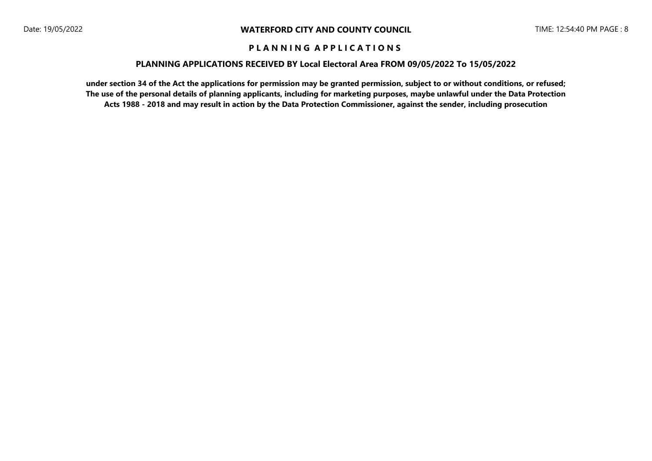### **PLANNING APPLICATIONS RECEIVED BY Local Electoral Area FROM 09/05/2022 To 15/05/2022**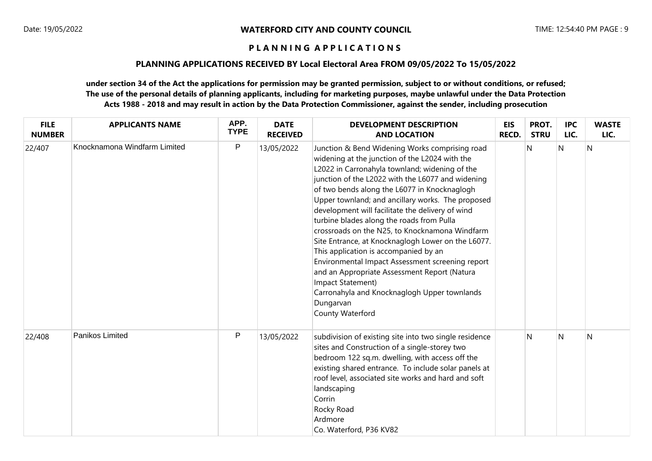# **PLANNING APPLICATIONS RECEIVED BY Local Electoral Area FROM 09/05/2022 To 15/05/2022**

| <b>FILE</b><br><b>NUMBER</b> | <b>APPLICANTS NAME</b>       | APP.<br><b>TYPE</b> | <b>DATE</b><br><b>RECEIVED</b> | <b>DEVELOPMENT DESCRIPTION</b><br><b>AND LOCATION</b>                                                                                                                                                                                                                                                                                                                                                                                                                                                                                                                                                                                                                                                                                                                    | <b>EIS</b><br><b>RECD.</b> | PROT.<br><b>STRU</b> | <b>IPC</b><br>LIC. | <b>WASTE</b><br>LIC. |
|------------------------------|------------------------------|---------------------|--------------------------------|--------------------------------------------------------------------------------------------------------------------------------------------------------------------------------------------------------------------------------------------------------------------------------------------------------------------------------------------------------------------------------------------------------------------------------------------------------------------------------------------------------------------------------------------------------------------------------------------------------------------------------------------------------------------------------------------------------------------------------------------------------------------------|----------------------------|----------------------|--------------------|----------------------|
| 22/407                       | Knocknamona Windfarm Limited | $\mathsf{P}$        | 13/05/2022                     | Junction & Bend Widening Works comprising road<br>widening at the junction of the L2024 with the<br>L2022 in Carronahyla townland; widening of the<br>junction of the L2022 with the L6077 and widening<br>of two bends along the L6077 in Knocknaglogh<br>Upper townland; and ancillary works. The proposed<br>development will facilitate the delivery of wind<br>turbine blades along the roads from Pulla<br>crossroads on the N25, to Knocknamona Windfarm<br>Site Entrance, at Knocknaglogh Lower on the L6077.<br>This application is accompanied by an<br>Environmental Impact Assessment screening report<br>and an Appropriate Assessment Report (Natura<br>Impact Statement)<br>Carronahyla and Knocknaglogh Upper townlands<br>Dungarvan<br>County Waterford |                            | N                    | N                  | N                    |
| 22/408                       | Panikos Limited              | $\mathsf{P}$        | 13/05/2022                     | subdivision of existing site into two single residence<br>sites and Construction of a single-storey two<br>bedroom 122 sq.m. dwelling, with access off the<br>existing shared entrance. To include solar panels at<br>roof level, associated site works and hard and soft<br>landscaping<br>Corrin<br>Rocky Road<br>Ardmore<br>Co. Waterford, P36 KV82                                                                                                                                                                                                                                                                                                                                                                                                                   |                            | $\mathsf{N}$         | N                  | N                    |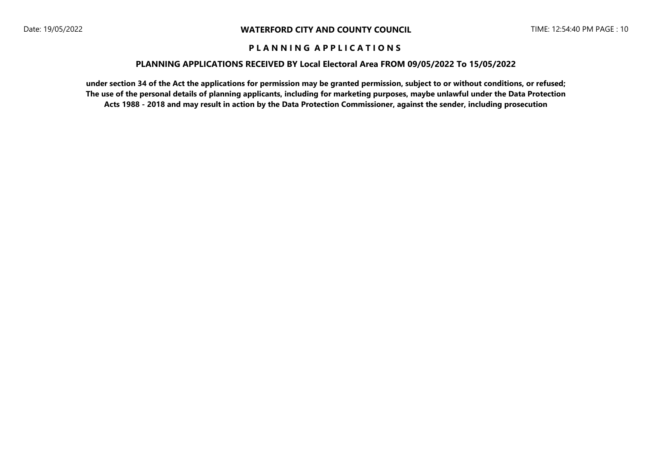#### **PLANNING APPLICATIONS RECEIVED BY Local Electoral Area FROM 09/05/2022 To 15/05/2022**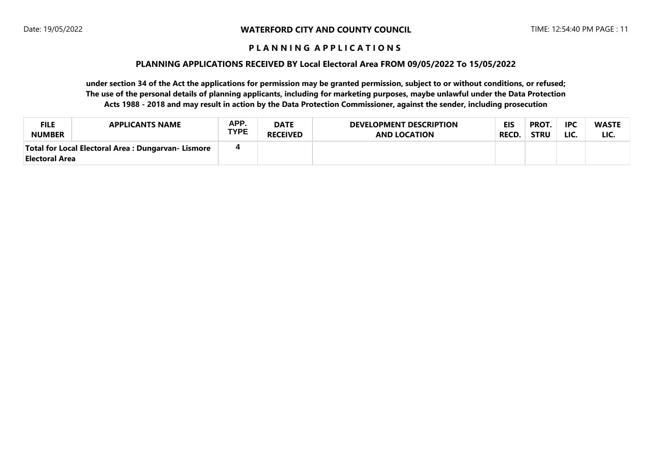#### **PLANNING APPLICATIONS RECEIVED BY Local Electoral Area FROM 09/05/2022 To 15/05/2022**

| <b>FILE</b>    | <b>APPLICANTS NAME</b>                              | APP.        | <b>DATE</b>     | <b>DEVELOPMENT DESCRIPTION</b> | <b>EIS</b>   | <b>PROT.</b> | <b>IPC</b> | <b>WASTE</b> |
|----------------|-----------------------------------------------------|-------------|-----------------|--------------------------------|--------------|--------------|------------|--------------|
| <b>NUMBER</b>  |                                                     | <b>TYPE</b> | <b>RECEIVED</b> | <b>AND LOCATION</b>            | <b>RECD.</b> | <b>STRU</b>  | LIC.       | LIC.         |
| Electoral Area | Total for Local Electoral Area : Dungarvan- Lismore | 4           |                 |                                |              |              |            |              |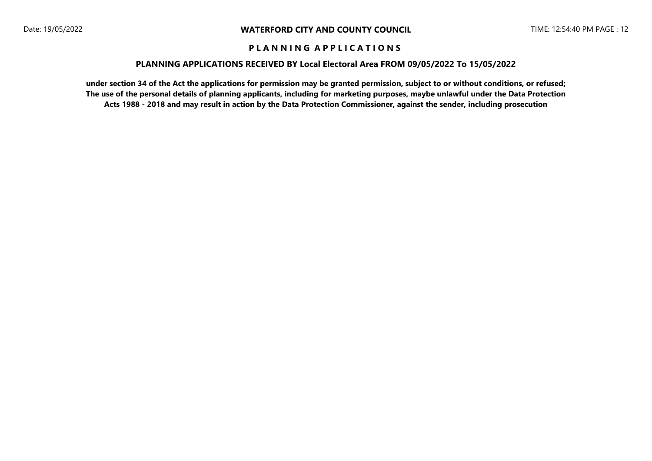#### **PLANNING APPLICATIONS RECEIVED BY Local Electoral Area FROM 09/05/2022 To 15/05/2022**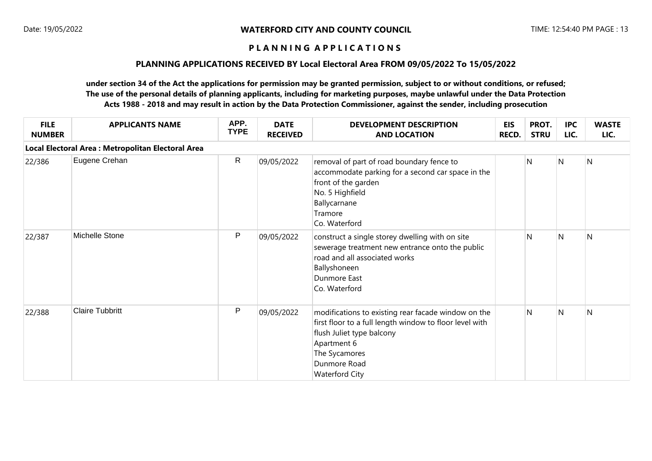### **PLANNING APPLICATIONS RECEIVED BY Local Electoral Area FROM 09/05/2022 To 15/05/2022**

| <b>FILE</b><br><b>NUMBER</b> | <b>APPLICANTS NAME</b>                             | APP.<br><b>TYPE</b> | <b>DATE</b><br><b>RECEIVED</b> | <b>DEVELOPMENT DESCRIPTION</b><br><b>AND LOCATION</b>                                                                                                                                                                | <b>EIS</b><br><b>RECD.</b> | PROT.<br><b>STRU</b> | <b>IPC</b><br>LIC. | <b>WASTE</b><br>LIC. |
|------------------------------|----------------------------------------------------|---------------------|--------------------------------|----------------------------------------------------------------------------------------------------------------------------------------------------------------------------------------------------------------------|----------------------------|----------------------|--------------------|----------------------|
|                              | Local Electoral Area : Metropolitan Electoral Area |                     |                                |                                                                                                                                                                                                                      |                            |                      |                    |                      |
| 22/386                       | Eugene Crehan                                      | R                   | 09/05/2022                     | removal of part of road boundary fence to<br>accommodate parking for a second car space in the<br>front of the garden<br>No. 5 Highfield<br>Ballycarnane<br>Tramore<br>Co. Waterford                                 |                            | N                    | N                  | N                    |
| 22/387                       | Michelle Stone                                     | ${\sf P}$           | 09/05/2022                     | construct a single storey dwelling with on site<br>sewerage treatment new entrance onto the public<br>road and all associated works<br>Ballyshoneen<br>Dunmore East<br>Co. Waterford                                 |                            | N                    | N                  | N                    |
| 22/388                       | <b>Claire Tubbritt</b>                             | ${\sf P}$           | 09/05/2022                     | modifications to existing rear facade window on the<br>first floor to a full length window to floor level with<br>flush Juliet type balcony<br>Apartment 6<br>The Sycamores<br>Dunmore Road<br><b>Waterford City</b> |                            | N                    | N                  | N                    |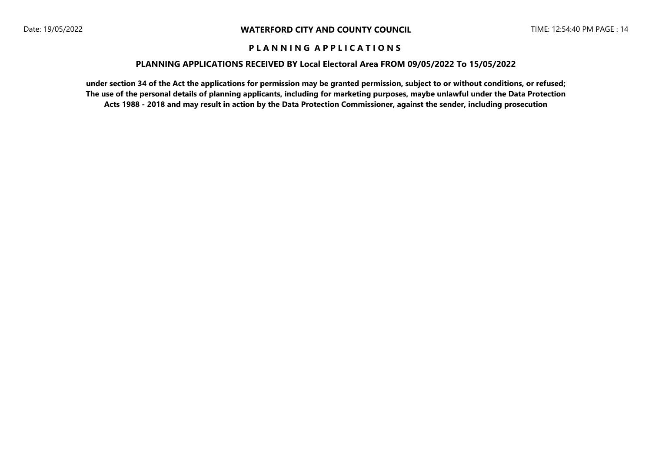#### **PLANNING APPLICATIONS RECEIVED BY Local Electoral Area FROM 09/05/2022 To 15/05/2022**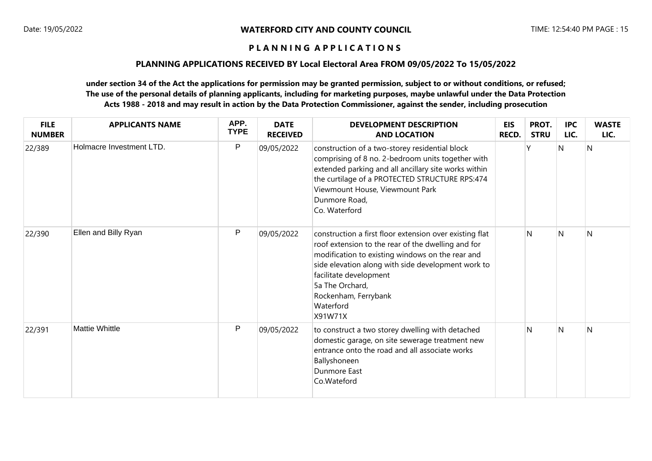### **PLANNING APPLICATIONS RECEIVED BY Local Electoral Area FROM 09/05/2022 To 15/05/2022**

| <b>FILE</b><br><b>NUMBER</b> | <b>APPLICANTS NAME</b>   | APP.<br><b>TYPE</b> | <b>DATE</b><br><b>RECEIVED</b> | <b>DEVELOPMENT DESCRIPTION</b><br><b>AND LOCATION</b>                                                                                                                                                                                                                                                                | <b>EIS</b><br><b>RECD.</b> | PROT.<br><b>STRU</b> | <b>IPC</b><br>LIC. | <b>WASTE</b><br>LIC. |
|------------------------------|--------------------------|---------------------|--------------------------------|----------------------------------------------------------------------------------------------------------------------------------------------------------------------------------------------------------------------------------------------------------------------------------------------------------------------|----------------------------|----------------------|--------------------|----------------------|
| 22/389                       | Holmacre Investment LTD. | $\mathsf{P}$        | 09/05/2022                     | construction of a two-storey residential block<br>comprising of 8 no. 2-bedroom units together with<br>extended parking and all ancillary site works within<br>the curtilage of a PROTECTED STRUCTURE RPS:474<br>Viewmount House, Viewmount Park<br>Dunmore Road,<br>Co. Waterford                                   |                            |                      | N                  | N                    |
| 22/390                       | Ellen and Billy Ryan     | ${\sf P}$           | 09/05/2022                     | construction a first floor extension over existing flat<br>roof extension to the rear of the dwelling and for<br>modification to existing windows on the rear and<br>side elevation along with side development work to<br>facilitate development<br>5a The Orchard,<br>Rockenham, Ferrybank<br>Waterford<br>X91W71X |                            | N                    | N                  | $\mathsf{N}$         |
| 22/391                       | <b>Mattie Whittle</b>    | P                   | 09/05/2022                     | to construct a two storey dwelling with detached<br>domestic garage, on site sewerage treatment new<br>entrance onto the road and all associate works<br>Ballyshoneen<br>Dunmore East<br>Co.Wateford                                                                                                                 |                            | N                    | N                  | N                    |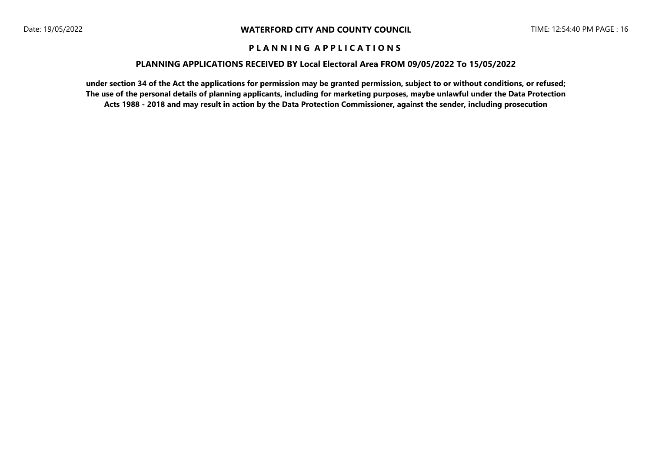#### **PLANNING APPLICATIONS RECEIVED BY Local Electoral Area FROM 09/05/2022 To 15/05/2022**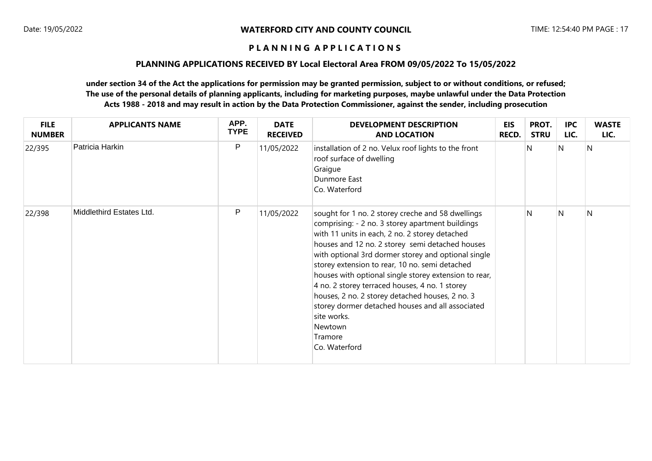### **PLANNING APPLICATIONS RECEIVED BY Local Electoral Area FROM 09/05/2022 To 15/05/2022**

| <b>FILE</b><br><b>NUMBER</b> | <b>APPLICANTS NAME</b>   | APP.<br><b>TYPE</b> | <b>DATE</b><br><b>RECEIVED</b> | <b>DEVELOPMENT DESCRIPTION</b><br><b>AND LOCATION</b>                                                                                                                                                                                                                                                                                                                                                                                                                                                                                                                                       | <b>EIS</b><br><b>RECD.</b> | PROT.<br><b>STRU</b> | <b>IPC</b><br>LIC. | <b>WASTE</b><br>LIC. |
|------------------------------|--------------------------|---------------------|--------------------------------|---------------------------------------------------------------------------------------------------------------------------------------------------------------------------------------------------------------------------------------------------------------------------------------------------------------------------------------------------------------------------------------------------------------------------------------------------------------------------------------------------------------------------------------------------------------------------------------------|----------------------------|----------------------|--------------------|----------------------|
| 22/395                       | Patricia Harkin          | $\mathsf{P}$        | 11/05/2022                     | installation of 2 no. Velux roof lights to the front<br>roof surface of dwelling<br>Graigue<br>Dunmore East<br>Co. Waterford                                                                                                                                                                                                                                                                                                                                                                                                                                                                |                            | N                    | N                  | N                    |
| 22/398                       | Middlethird Estates Ltd. | ${\sf P}$           | 11/05/2022                     | sought for 1 no. 2 storey creche and 58 dwellings<br>comprising: - 2 no. 3 storey apartment buildings<br>with 11 units in each, 2 no. 2 storey detached<br>houses and 12 no. 2 storey semi detached houses<br>with optional 3rd dormer storey and optional single<br>storey extension to rear, 10 no. semi detached<br>houses with optional single storey extension to rear,<br>4 no. 2 storey terraced houses, 4 no. 1 storey<br>houses, 2 no. 2 storey detached houses, 2 no. 3<br>storey dormer detached houses and all associated<br>site works.<br>Newtown<br>Tramore<br>Co. Waterford |                            | N                    | N                  | $\mathsf{N}$         |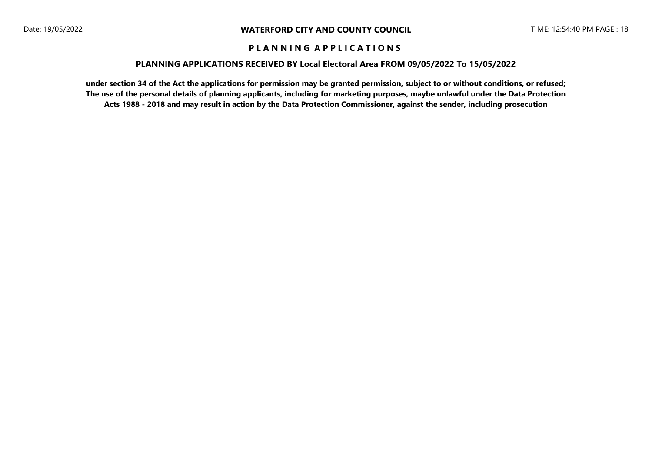### **PLANNING APPLICATIONS RECEIVED BY Local Electoral Area FROM 09/05/2022 To 15/05/2022**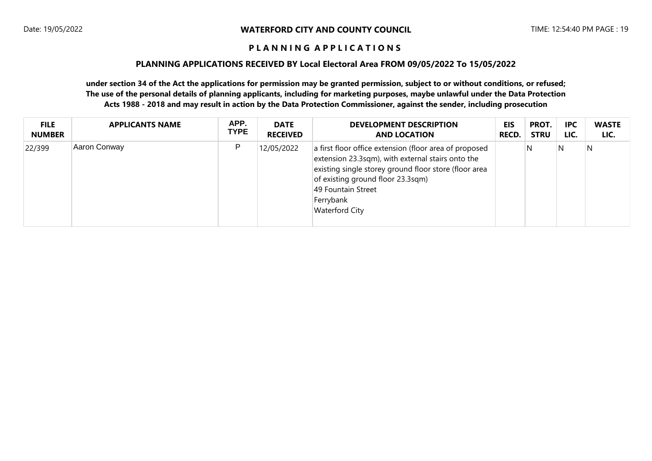#### **PLANNING APPLICATIONS RECEIVED BY Local Electoral Area FROM 09/05/2022 To 15/05/2022**

| <b>FILE</b>   | <b>APPLICANTS NAME</b> | APP.        | <b>DATE</b>     | <b>DEVELOPMENT DESCRIPTION</b>                                                                                                                                                                                                                                        | EIS          | PROT.       | <b>IPC</b> | <b>WASTE</b> |
|---------------|------------------------|-------------|-----------------|-----------------------------------------------------------------------------------------------------------------------------------------------------------------------------------------------------------------------------------------------------------------------|--------------|-------------|------------|--------------|
| <b>NUMBER</b> |                        | <b>TYPE</b> | <b>RECEIVED</b> | <b>AND LOCATION</b>                                                                                                                                                                                                                                                   | <b>RECD.</b> | <b>STRU</b> | LIC.       | LIC.         |
| 22/399        | Aaron Conway           | P           | 12/05/2022      | a first floor office extension (floor area of proposed<br>extension 23.3sqm), with external stairs onto the<br>existing single storey ground floor store (floor area<br>of existing ground floor 23.3sqm)<br>49 Fountain Street<br>Ferrybank<br><b>Waterford City</b> |              | 'N          | N          | N            |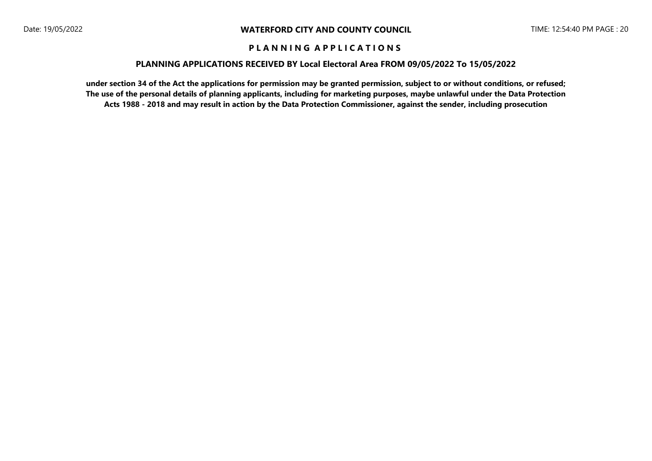#### **PLANNING APPLICATIONS RECEIVED BY Local Electoral Area FROM 09/05/2022 To 15/05/2022**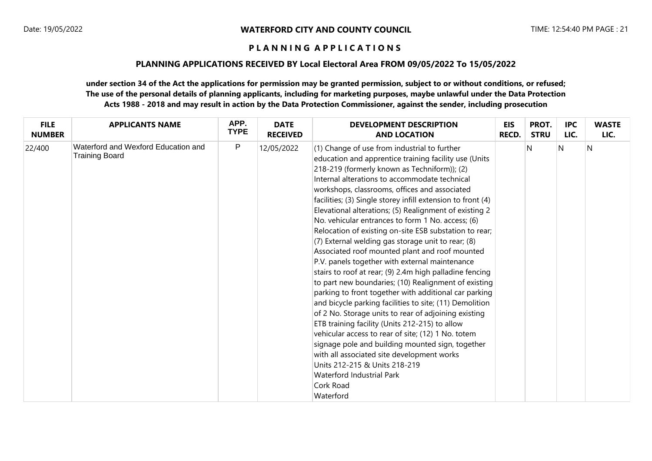### **PLANNING APPLICATIONS RECEIVED BY Local Electoral Area FROM 09/05/2022 To 15/05/2022**

| <b>FILE</b>   | <b>APPLICANTS NAME</b>                                | APP.        | <b>DATE</b>     | <b>DEVELOPMENT DESCRIPTION</b>                                                                                                                                                                                                                                                                                                                                                                                                                                                                                                                                                                                                                                                                                                                                                                                                                                                                                                                                                                                                                                                                                                                                                                                                                             | <b>EIS</b> | PROT.       | <b>IPC</b> | <b>WASTE</b> |
|---------------|-------------------------------------------------------|-------------|-----------------|------------------------------------------------------------------------------------------------------------------------------------------------------------------------------------------------------------------------------------------------------------------------------------------------------------------------------------------------------------------------------------------------------------------------------------------------------------------------------------------------------------------------------------------------------------------------------------------------------------------------------------------------------------------------------------------------------------------------------------------------------------------------------------------------------------------------------------------------------------------------------------------------------------------------------------------------------------------------------------------------------------------------------------------------------------------------------------------------------------------------------------------------------------------------------------------------------------------------------------------------------------|------------|-------------|------------|--------------|
| <b>NUMBER</b> |                                                       | <b>TYPE</b> | <b>RECEIVED</b> | <b>AND LOCATION</b>                                                                                                                                                                                                                                                                                                                                                                                                                                                                                                                                                                                                                                                                                                                                                                                                                                                                                                                                                                                                                                                                                                                                                                                                                                        | RECD.      | <b>STRU</b> | LIC.       | LIC.         |
| 22/400        | Waterford and Wexford Education and<br>Training Board | P           | 12/05/2022      | (1) Change of use from industrial to further<br>education and apprentice training facility use (Units<br>218-219 (formerly known as Techniform)); (2)<br>Internal alterations to accommodate technical<br>workshops, classrooms, offices and associated<br>facilities; (3) Single storey infill extension to front (4)<br>Elevational alterations; (5) Realignment of existing 2<br>No. vehicular entrances to form 1 No. access; (6)<br>Relocation of existing on-site ESB substation to rear;<br>(7) External welding gas storage unit to rear; (8)<br>Associated roof mounted plant and roof mounted<br>P.V. panels together with external maintenance<br>stairs to roof at rear; (9) 2.4m high palladine fencing<br>to part new boundaries; (10) Realignment of existing<br>parking to front together with additional car parking<br>and bicycle parking facilities to site; (11) Demolition<br>of 2 No. Storage units to rear of adjoining existing<br>ETB training facility (Units 212-215) to allow<br>vehicular access to rear of site; (12) 1 No. totem<br>signage pole and building mounted sign, together<br>with all associated site development works<br>Units 212-215 & Units 218-219<br>Waterford Industrial Park<br>Cork Road<br>Waterford |            | N           | N          | $\mathsf{N}$ |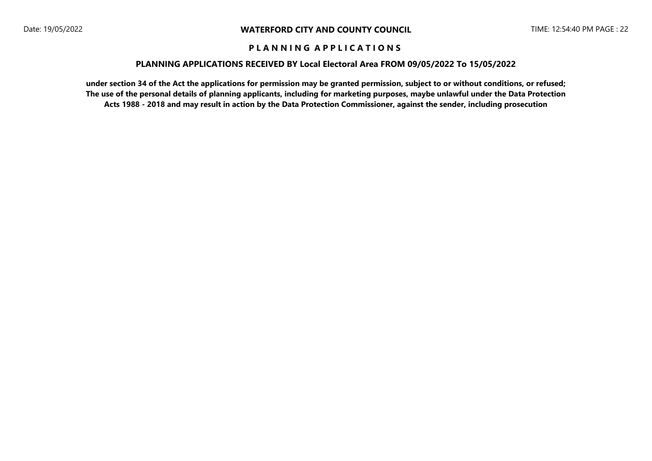#### **PLANNING APPLICATIONS RECEIVED BY Local Electoral Area FROM 09/05/2022 To 15/05/2022**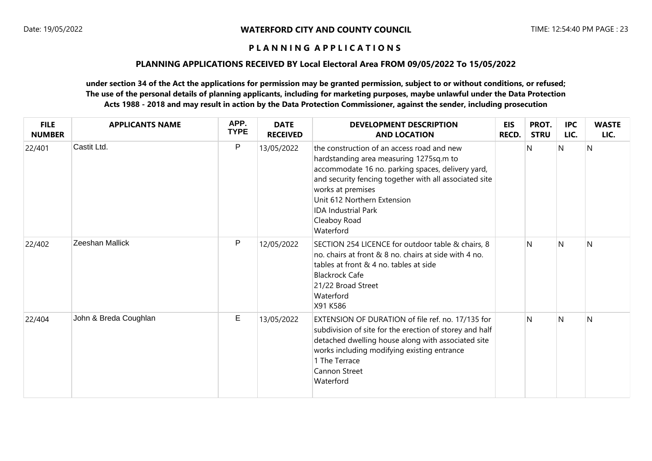### **PLANNING APPLICATIONS RECEIVED BY Local Electoral Area FROM 09/05/2022 To 15/05/2022**

| <b>FILE</b><br><b>NUMBER</b> | <b>APPLICANTS NAME</b> | APP.<br><b>TYPE</b> | <b>DATE</b><br><b>RECEIVED</b> | <b>DEVELOPMENT DESCRIPTION</b><br><b>AND LOCATION</b>                                                                                                                                                                                                                                                               | <b>EIS</b><br>RECD. | PROT.<br><b>STRU</b> | <b>IPC</b><br>LIC. | <b>WASTE</b><br>LIC. |
|------------------------------|------------------------|---------------------|--------------------------------|---------------------------------------------------------------------------------------------------------------------------------------------------------------------------------------------------------------------------------------------------------------------------------------------------------------------|---------------------|----------------------|--------------------|----------------------|
| 22/401                       | Castit Ltd.            | $\mathsf{P}$        | 13/05/2022                     | the construction of an access road and new<br>hardstanding area measuring 1275sq.m to<br>accommodate 16 no. parking spaces, delivery yard,<br>and security fencing together with all associated site<br>works at premises<br>Unit 612 Northern Extension<br><b>IDA Industrial Park</b><br>Cleaboy Road<br>Waterford |                     | $\mathsf{N}$         | N                  | $\mathsf{N}$         |
| 22/402                       | Zeeshan Mallick        | P                   | 12/05/2022                     | SECTION 254 LICENCE for outdoor table & chairs, 8<br>no. chairs at front & 8 no. chairs at side with 4 no.<br>tables at front & 4 no. tables at side<br><b>Blackrock Cafe</b><br>21/22 Broad Street<br>Waterford<br>X91 K586                                                                                        |                     | N                    | $\mathsf{N}$       | N                    |
| 22/404                       | John & Breda Coughlan  | Е                   | 13/05/2022                     | EXTENSION OF DURATION of file ref. no. 17/135 for<br>subdivision of site for the erection of storey and half<br>detached dwelling house along with associated site<br>works including modifying existing entrance<br>1 The Terrace<br><b>Cannon Street</b><br>Waterford                                             |                     | $\mathsf{N}$         | $\mathsf{N}$       | $\mathsf{N}$         |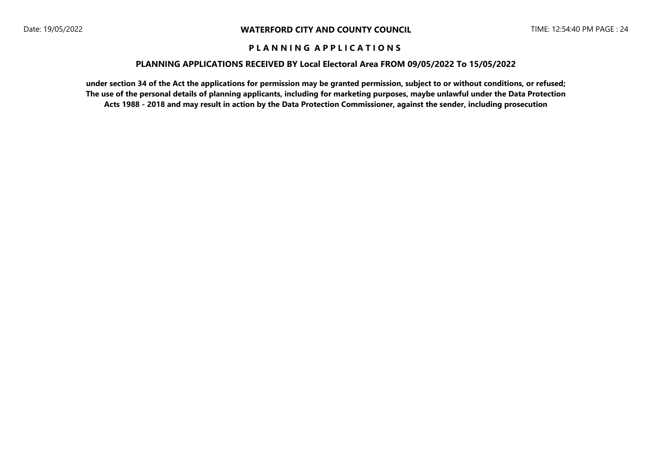#### **PLANNING APPLICATIONS RECEIVED BY Local Electoral Area FROM 09/05/2022 To 15/05/2022**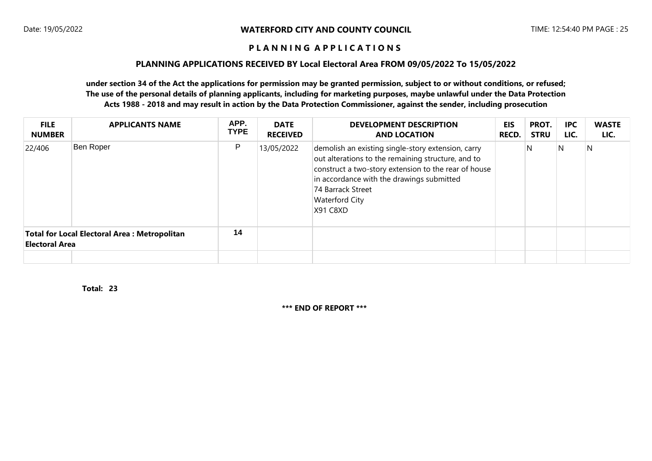### **PLANNING APPLICATIONS RECEIVED BY Local Electoral Area FROM 09/05/2022 To 15/05/2022**

## **under section 34 of the Act the applications for permission may be granted permission, subject to or without conditions, or refused; The use of the personal details of planning applicants, including for marketing purposes, maybe unlawful under the Data Protection Acts 1988 - 2018 and may result in action by the Data Protection Commissioner, against the sender, including prosecution**

| <b>FILE</b><br><b>NUMBER</b>                                                 | <b>APPLICANTS NAME</b> | APP.<br><b>TYPE</b> | <b>DATE</b><br><b>RECEIVED</b> | <b>DEVELOPMENT DESCRIPTION</b><br><b>AND LOCATION</b>                                                                                                                                                                                                                   | <b>EIS</b><br><b>RECD.</b> | PROT.<br><b>STRU</b> | <b>IPC</b><br>LIC. | <b>WASTE</b><br>LIC. |
|------------------------------------------------------------------------------|------------------------|---------------------|--------------------------------|-------------------------------------------------------------------------------------------------------------------------------------------------------------------------------------------------------------------------------------------------------------------------|----------------------------|----------------------|--------------------|----------------------|
| 22/406                                                                       | Ben Roper              | P                   | 13/05/2022                     | demolish an existing single-story extension, carry<br>out alterations to the remaining structure, and to<br>construct a two-story extension to the rear of house<br>in accordance with the drawings submitted<br>74 Barrack Street<br><b>Waterford City</b><br>X91 C8XD |                            | N                    | N                  | N                    |
| <b>Total for Local Electoral Area: Metropolitan</b><br><b>Electoral Area</b> |                        | 14                  |                                |                                                                                                                                                                                                                                                                         |                            |                      |                    |                      |
|                                                                              |                        |                     |                                |                                                                                                                                                                                                                                                                         |                            |                      |                    |                      |

**23 Total:** 

**\*\*\* END OF REPORT \*\*\***